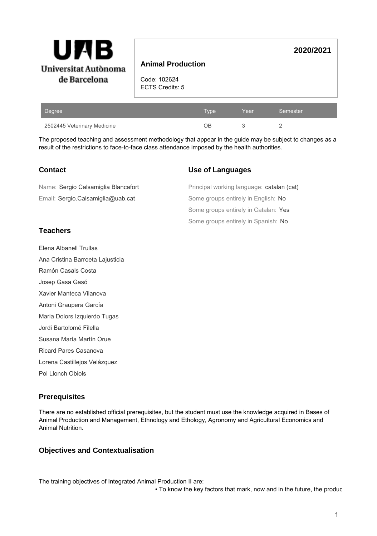

## **Animal Production**

Code: 102624 ECTS Credits: 5

| Degree                      | Type' | Year | Semester |
|-----------------------------|-------|------|----------|
| 2502445 Veterinary Medicine | ЭB    |      |          |

The proposed teaching and assessment methodology that appear in the guide may be subject to changes as a result of the restrictions to face-to-face class attendance imposed by the health authorities.

## **Contact**

### **Use of Languages**

**2020/2021**

| Name: Sergio Calsamiglia Blancafort | Principal working language: catalan (cat) |
|-------------------------------------|-------------------------------------------|
| Email: Sergio.Calsamiglia@uab.cat   | Some groups entirely in English: No       |
|                                     | Some groups entirely in Catalan: Yes      |
|                                     | Some groups entirely in Spanish: No       |

## **Teachers**

Elena Albanell Trullas

Ana Cristina Barroeta Lajusticia

Ramón Casals Costa

Josep Gasa Gasó

Xavier Manteca Vilanova

Antoni Graupera García

Maria Dolors Izquierdo Tugas

Jordi Bartolomé Filella

Susana María Martín Orue

Ricard Pares Casanova

Lorena Castillejos Velázquez

Pol Llonch Obiols

# **Prerequisites**

There are no established official prerequisites, but the student must use the knowledge acquired in Bases of Animal Production and Management, Ethnology and Ethology, Agronomy and Agricultural Economics and Animal Nutrition.

## **Objectives and Contextualisation**

The training objectives of Integrated Animal Production II are:

• To know the key factors that mark, now and in the future, the produc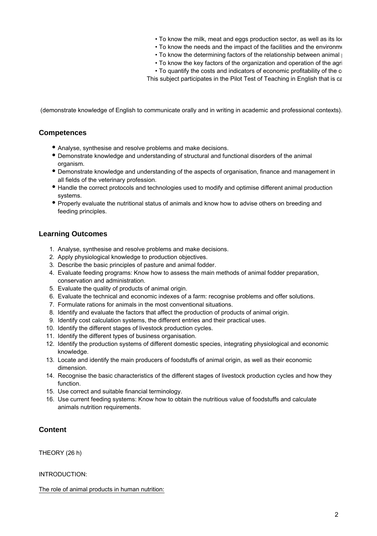- To know the milk, meat and eggs production sector, as well as its location.
- To know the needs and the impact of the facilities and the environment
- To know the determining factors of the relationship between animal  $\parallel$
- To know the key factors of the organization and operation of the agri
- To quantify the costs and indicators of economic profitability of the c

This subject participates in the Pilot Test of Teaching in English that is ca

(demonstrate knowledge of English to communicate orally and in writing in academic and professional contexts).

### **Competences**

- Analyse, synthesise and resolve problems and make decisions.
- Demonstrate knowledge and understanding of structural and functional disorders of the animal organism.
- Demonstrate knowledge and understanding of the aspects of organisation, finance and management in all fields of the veterinary profession.
- Handle the correct protocols and technologies used to modify and optimise different animal production systems.
- Properly evaluate the nutritional status of animals and know how to advise others on breeding and feeding principles.

## **Learning Outcomes**

- 1. Analyse, synthesise and resolve problems and make decisions.
- 2. Apply physiological knowledge to production objectives.
- 3. Describe the basic principles of pasture and animal fodder.
- 4. Evaluate feeding programs: Know how to assess the main methods of animal fodder preparation, conservation and administration.
- 5. Evaluate the quality of products of animal origin.
- 6. Evaluate the technical and economic indexes of a farm: recognise problems and offer solutions.
- 7. Formulate rations for animals in the most conventional situations.
- 8. Identify and evaluate the factors that affect the production of products of animal origin.
- 9. Identify cost calculation systems, the different entries and their practical uses.
- 10. Identify the different stages of livestock production cycles.
- 11. Identify the different types of business organisation.
- 12. Identify the production systems of different domestic species, integrating physiological and economic knowledge.
- 13. Locate and identify the main producers of foodstuffs of animal origin, as well as their economic dimension.
- 14. Recognise the basic characteristics of the different stages of livestock production cycles and how they function.
- 15. Use correct and suitable financial terminology.
- 16. Use current feeding systems: Know how to obtain the nutritious value of foodstuffs and calculate animals nutrition requirements.

### **Content**

THEORY (26 h)

INTRODUCTION:

The role of animal products in human nutrition: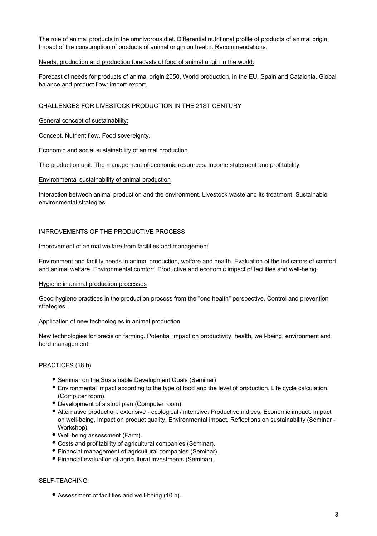The role of animal products in the omnivorous diet. Differential nutritional profile of products of animal origin. Impact of the consumption of products of animal origin on health. Recommendations.

#### Needs, production and production forecasts of food of animal origin in the world:

Forecast of needs for products of animal origin 2050. World production, in the EU, Spain and Catalonia. Global balance and product flow: import-export.

### CHALLENGES FOR LIVESTOCK PRODUCTION IN THE 21ST CENTURY

#### General concept of sustainability:

Concept. Nutrient flow. Food sovereignty.

### Economic and social sustainability of animal production

The production unit. The management of economic resources. Income statement and profitability.

### Environmental sustainability of animal production

Interaction between animal production and the environment. Livestock waste and its treatment. Sustainable environmental strategies.

### IMPROVEMENTS OF THE PRODUCTIVE PROCESS

#### Improvement of animal welfare from facilities and management

Environment and facility needs in animal production, welfare and health. Evaluation of the indicators of comfort and animal welfare. Environmental comfort. Productive and economic impact of facilities and well-being.

#### Hygiene in animal production processes

Good hygiene practices in the production process from the "one health" perspective. Control and prevention strategies.

#### Application of new technologies in animal production

New technologies for precision farming. Potential impact on productivity, health, well-being, environment and herd management.

### PRACTICES (18 h)

- Seminar on the Sustainable Development Goals (Seminar)
- Environmental impact according to the type of food and the level of production. Life cycle calculation. (Computer room)
- Development of a stool plan (Computer room).
- Alternative production: extensive ecological / intensive. Productive indices. Economic impact. Impact on well-being. Impact on product quality. Environmental impact. Reflections on sustainability (Seminar - Workshop).
- Well-being assessment (Farm).
- Costs and profitability of agricultural companies (Seminar).
- Financial management of agricultural companies (Seminar).
- Financial evaluation of agricultural investments (Seminar).

#### SELF-TEACHING

Assessment of facilities and well-being (10 h).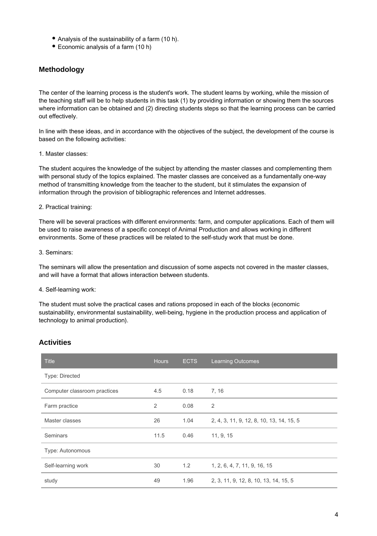- Analysis of the sustainability of a farm (10 h).
- Economic analysis of a farm (10 h)

## **Methodology**

The center of the learning process is the student's work. The student learns by working, while the mission of the teaching staff will be to help students in this task (1) by providing information or showing them the sources where information can be obtained and (2) directing students steps so that the learning process can be carried out effectively.

In line with these ideas, and in accordance with the objectives of the subject, the development of the course is based on the following activities:

#### 1. Master classes:

The student acquires the knowledge of the subject by attending the master classes and complementing them with personal study of the topics explained. The master classes are conceived as a fundamentally one-way method of transmitting knowledge from the teacher to the student, but it stimulates the expansion of information through the provision of bibliographic references and Internet addresses.

#### 2. Practical training:

There will be several practices with different environments: farm, and computer applications. Each of them will be used to raise awareness of a specific concept of Animal Production and allows working in different environments. Some of these practices will be related to the self-study work that must be done.

#### 3. Seminars:

The seminars will allow the presentation and discussion of some aspects not covered in the master classes, and will have a format that allows interaction between students.

#### 4. Self-learning work:

The student must solve the practical cases and rations proposed in each of the blocks (economic sustainability, environmental sustainability, well-being, hygiene in the production process and application of technology to animal production).

### **Activities**

| <b>Title</b>                 | <b>Hours</b> | <b>ECTS</b> | <b>Learning Outcomes</b>                 |
|------------------------------|--------------|-------------|------------------------------------------|
| Type: Directed               |              |             |                                          |
| Computer classroom practices | 4.5          | 0.18        | 7, 16                                    |
| Farm practice                | 2            | 0.08        | 2                                        |
| Master classes               | 26           | 1.04        | 2, 4, 3, 11, 9, 12, 8, 10, 13, 14, 15, 5 |
| Seminars                     | 11.5         | 0.46        | 11, 9, 15                                |
| Type: Autonomous             |              |             |                                          |
| Self-learning work           | 30           | 1.2         | 1, 2, 6, 4, 7, 11, 9, 16, 15             |
| study                        | 49           | 1.96        | 2, 3, 11, 9, 12, 8, 10, 13, 14, 15, 5    |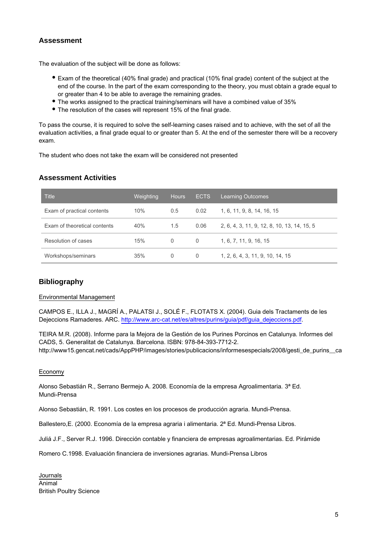## **Assessment**

The evaluation of the subject will be done as follows:

- Exam of the theoretical (40% final grade) and practical (10% final grade) content of the subject at the end of the course. In the part of the exam corresponding to the theory, you must obtain a grade equal to or greater than 4 to be able to average the remaining grades.
- The works assigned to the practical training/seminars will have a combined value of 35%
- The resolution of the cases will represent 15% of the final grade.

To pass the course, it is required to solve the self-learning cases raised and to achieve, with the set of all the evaluation activities, a final grade equal to or greater than 5. At the end of the semester there will be a recovery exam.

The student who does not take the exam will be considered not presented

## **Assessment Activities**

| <b>Title</b>                 | Weighting | <b>Hours</b> | <b>ECTS</b> | <b>Learning Outcomes</b>                    |
|------------------------------|-----------|--------------|-------------|---------------------------------------------|
| Exam of practical contents   | 10%       | 0.5          | 0.02        | 1, 6, 11, 9, 8, 14, 16, 15                  |
| Exam of theoretical contents | 40%       | 1.5          | 0.06        | 2, 6, 4, 3, 11, 9, 12, 8, 10, 13, 14, 15, 5 |
| Resolution of cases          | 15%       | 0            | $\Omega$    | 1, 6, 7, 11, 9, 16, 15                      |
| Workshops/seminars           | 35%       | 0            | 0           | 1, 2, 6, 4, 3, 11, 9, 10, 14, 15            |

## **Bibliography**

### Environmental Management

CAMPOS E., ILLA J., MAGRÍ A., PALATSI J., SOLÉ F., FLOTATS X. (2004). Guia dels Tractaments de les Dejeccions Ramaderes. ARC. [http://www.arc-cat.net/es/altres/purins/guia/pdf/guia\\_dejeccions.pdf.](http://www.arc-cat.net/es/altres/purins/guia/pdf/guia_dejeccions.pdf)

TEIRA M.R. (2008). Informe para la Mejora de la Gestión de los Purines Porcinos en Catalunya. Informes del CADS, 5. Generalitat de Catalunya. Barcelona. ISBN: 978-84-393-7712-2. http://www15.gencat.net/cads/AppPHP/images/stories/publicacions/informesespecials/2008/gesti\_de\_purins\_ca

#### Economy

Alonso Sebastián R., Serrano Bermejo A. 2008. Economía de la empresa Agroalimentaria. 3ª Ed. Mundi-Prensa

Alonso Sebastián, R. 1991. Los costes en los procesos de producción agraria. Mundi-Prensa.

Ballestero, E. (2000. Economía de la empresa agraria i alimentaria. 2ª Ed. Mundi-Prensa Libros.

Juliá J.F., Server R.J. 1996. Dirección contable y financiera de empresas agroalimentarias. Ed. Pirámide

Romero C.1998. Evaluación financiera de inversiones agrarias. Mundi-Prensa Libros

Journals Animal British Poultry Science